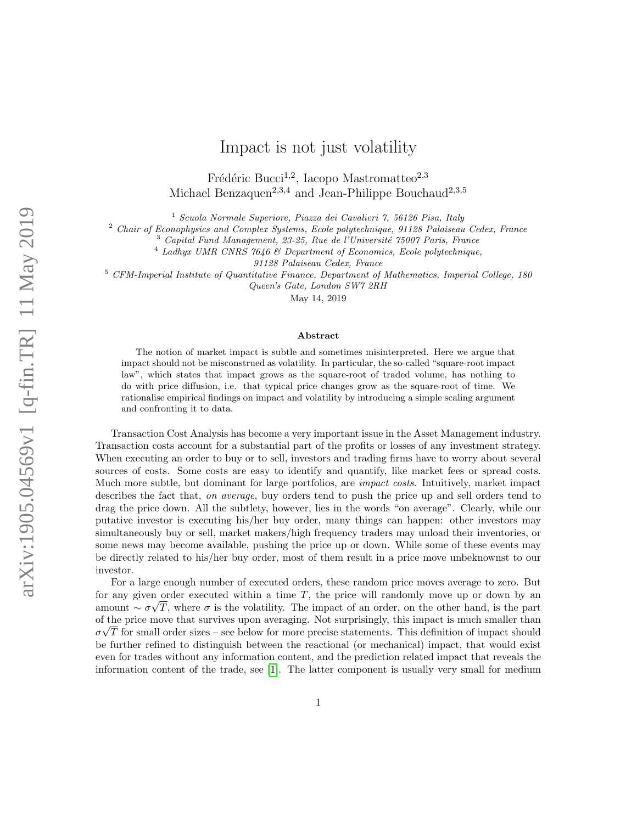# Impact is not just volatility

Frédéric Bucci<sup>1,2</sup>, Iacopo Mastromatteo<sup>2,3</sup> Michael Benzaquen<sup>2,3,4</sup> and Jean-Philippe Bouchaud<sup>2,3,5</sup>

<sup>1</sup> Scuola Normale Superiore, Piazza dei Cavalieri 7, 56126 Pisa, Italy

<sup>2</sup> Chair of Econophysics and Complex Systems, Ecole polytechnique, 91128 Palaiseau Cedex, France

<sup>3</sup> Capital Fund Management, 23-25, Rue de l'Université 75007 Paris, France

<sup>4</sup> Ladhyx UMR CNRS 7646 & Department of Economics, Ecole polytechnique,

91128 Palaiseau Cedex, France

<sup>5</sup> CFM-Imperial Institute of Quantitative Finance, Department of Mathematics, Imperial College, 180

Queen's Gate, London SW7 2RH

May 14, 2019

#### Abstract

The notion of market impact is subtle and sometimes misinterpreted. Here we argue that impact should not be misconstrued as volatility. In particular, the so-called "square-root impact law", which states that impact grows as the square-root of traded volume, has nothing to do with price diffusion, i.e. that typical price changes grow as the square-root of time. We rationalise empirical findings on impact and volatility by introducing a simple scaling argument and confronting it to data.

Transaction Cost Analysis has become a very important issue in the Asset Management industry. Transaction costs account for a substantial part of the profits or losses of any investment strategy. When executing an order to buy or to sell, investors and trading firms have to worry about several sources of costs. Some costs are easy to identify and quantify, like market fees or spread costs. Much more subtle, but dominant for large portfolios, are *impact costs*. Intuitively, market impact describes the fact that, on average, buy orders tend to push the price up and sell orders tend to drag the price down. All the subtlety, however, lies in the words "on average". Clearly, while our putative investor is executing his/her buy order, many things can happen: other investors may simultaneously buy or sell, market makers/high frequency traders may unload their inventories, or some news may become available, pushing the price up or down. While some of these events may be directly related to his/her buy order, most of them result in a price move unbeknownst to our investor.

For a large enough number of executed orders, these random price moves average to zero. But for any given order executed within a time  $T$ , the price will randomly move up or down by an amount  $\sim \sigma \sqrt{T}$ , where  $\sigma$  is the volatility. The impact of an order, on the other hand, is the part of the price move that survives upon averaging. Not surprisingly, this impact is much smaller than  $\sigma\sqrt{T}$  for small order sizes – see below for more precise statements. This definition of impact should be further refined to distinguish between the reactional (or mechanical) impact, that would exist even for trades without any information content, and the prediction related impact that reveals the information content of the trade, see [\[1\]](#page-3-0). The latter component is usually very small for medium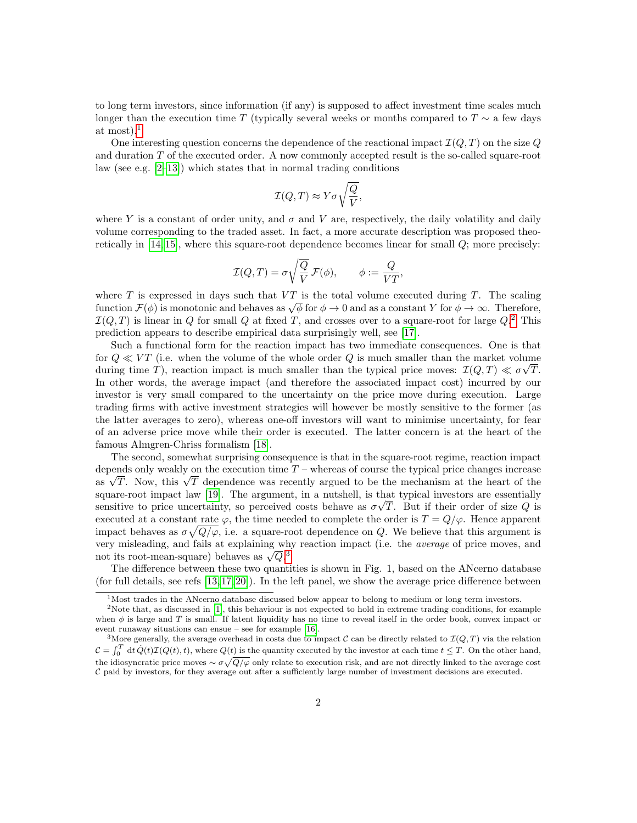to long term investors, since information (if any) is supposed to affect investment time scales much longer than the execution time T (typically several weeks or months compared to  $T \sim$  a few days at most). $<sup>1</sup>$  $<sup>1</sup>$  $<sup>1</sup>$ </sup>

One interesting question concerns the dependence of the reactional impact  $\mathcal{I}(Q, T)$  on the size Q and duration T of the executed order. A now commonly accepted result is the so-called square-root law (see e.g.  $[2-13]$  $[2-13]$ ) which states that in normal trading conditions

$$
\mathcal{I}(Q,T) \approx Y \sigma \sqrt{\frac{Q}{V}},
$$

where Y is a constant of order unity, and  $\sigma$  and V are, respectively, the daily volatility and daily volume corresponding to the traded asset. In fact, a more accurate description was proposed theoretically in [\[14,](#page-4-1) [15\]](#page-4-2), where this square-root dependence becomes linear for small Q; more precisely:

$$
\mathcal{I}(Q,T) = \sigma \sqrt{\frac{Q}{V}} \mathcal{F}(\phi), \qquad \phi := \frac{Q}{VT},
$$

where T is expressed in days such that  $VT$  is the total volume executed during T. The scaling function  $\mathcal{F}(\phi)$  is monotonic and behaves as  $\sqrt{\phi}$  for  $\phi \to 0$  and as a constant Y for  $\phi \to \infty$ . Therefore,  $\mathcal{I}(Q,T)$  is linear in Q for small Q at fixed T, and crosses over to a square-root for large  $Q$ .<sup>[2](#page-1-1)</sup> This prediction appears to describe empirical data surprisingly well, see [\[17\]](#page-4-3).

Such a functional form for the reaction impact has two immediate consequences. One is that for  $Q \ll VT$  (i.e. when the volume of the whole order Q is much smaller than the market volume during time T), reaction impact is much smaller than the typical price moves:  $\mathcal{I}(Q,T) \ll \sigma \sqrt{T}$ . In other words, the average impact (and therefore the associated impact cost) incurred by our investor is very small compared to the uncertainty on the price move during execution. Large trading firms with active investment strategies will however be mostly sensitive to the former (as the latter averages to zero), whereas one-off investors will want to minimise uncertainty, for fear of an adverse price move while their order is executed. The latter concern is at the heart of the famous Almgren-Chriss formalism [\[18\]](#page-4-4).

The second, somewhat surprising consequence is that in the square-root regime, reaction impact depends only weakly on the execution time  $T$  – whereas of course the typical price changes increase as  $\sqrt{T}$ . Now, this  $\sqrt{T}$  dependence was recently argued to be the mechanism at the heart of the square-root impact law [\[19\]](#page-4-5). The argument, in a nutshell, is that typical investors are essentially sensitive to price uncertainty, so perceived costs behave as  $\sigma\sqrt{T}$ . But if their order of size Q is executed at a constant rate  $\varphi$ , the time needed to complete the order is  $T = Q/\varphi$ . Hence apparent impact behaves as  $\sigma\sqrt{Q/\varphi}$ , i.e. a square-root dependence on Q. We believe that this argument is very misleading, and fails at explaining why reaction impact (i.e. the average of price moves, and not its root-mean-square) behaves as  $\sqrt{Q}$ .<sup>[3](#page-1-2)</sup>

The difference between these two quantities is shown in Fig. 1, based on the ANcerno database (for full details, see refs  $[13, 17, 20]$  $[13, 17, 20]$  $[13, 17, 20]$ ). In the left panel, we show the average price difference between

<span id="page-1-1"></span><span id="page-1-0"></span> $1$ Most trades in the ANcerno database discussed below appear to belong to medium or long term investors.

<sup>&</sup>lt;sup>2</sup>Note that, as discussed in [\[1\]](#page-3-0), this behaviour is not expected to hold in extreme trading conditions, for example when  $\phi$  is large and T is small. If latent liquidity has no time to reveal itself in the order book, convex impact or event runaway situations can ensue – see for example [\[16\]](#page-4-7).

<span id="page-1-2"></span><sup>&</sup>lt;sup>3</sup>More generally, the average overhead in costs due to impact C can be directly related to  $\mathcal{I}(Q, T)$  via the relation  $\mathcal{C} = \int_0^T dt \, \dot{Q}(t) \mathcal{I}(Q(t), t)$ , where  $Q(t)$  is the quantity executed by the investor at each time  $t \leq T$ . On the other hand, the idiosyncratic price moves  $\sim \sigma \sqrt{Q/\varphi}$  only relate to execution risk, and are not directly linked to the average cost  $C$  paid by investors, for they average out after a sufficiently large number of investment decisions are executed.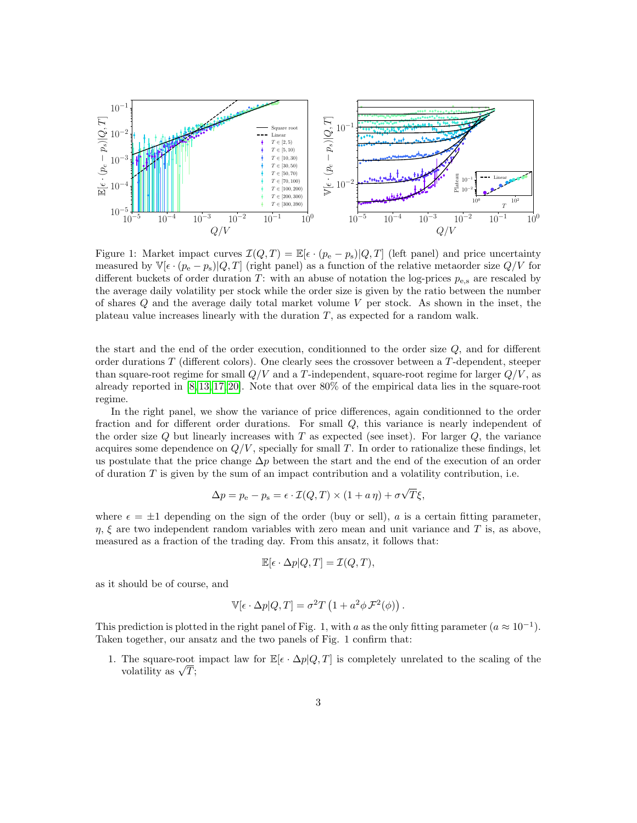

Figure 1: Market impact curves  $\mathcal{I}(Q, T) = \mathbb{E}[\epsilon \cdot (p_e - p_s)|Q, T]$  (left panel) and price uncertainty measured by  $\mathbb{V}[\epsilon \cdot (p_e - p_s) | Q, T]$  (right panel) as a function of the relative metaorder size  $Q/V$  for different buckets of order duration T: with an abuse of notation the log-prices  $p_{e,s}$  are rescaled by the average daily volatility per stock while the order size is given by the ratio between the number of shares Q and the average daily total market volume V per stock. As shown in the inset, the plateau value increases linearly with the duration  $T$ , as expected for a random walk.

the start and the end of the order execution, conditionned to the order size Q, and for different order durations T (different colors). One clearly sees the crossover between a T-dependent, steeper than square-root regime for small  $Q/V$  and a T-independent, square-root regime for larger  $Q/V$ , as already reported in [\[8,](#page-4-8) [13,](#page-4-0) [17,](#page-4-3) [20\]](#page-4-6). Note that over 80% of the empirical data lies in the square-root regime.

In the right panel, we show the variance of price differences, again conditionned to the order fraction and for different order durations. For small Q, this variance is nearly independent of the order size  $Q$  but linearly increases with  $T$  as expected (see inset). For larger  $Q$ , the variance acquires some dependence on  $Q/V$ , specially for small T. In order to rationalize these findings, let us postulate that the price change  $\Delta p$  between the start and the end of the execution of an order of duration  $T$  is given by the sum of an impact contribution and a volatility contribution, i.e.

$$
\Delta p = p_{\rm e} - p_{\rm s} = \epsilon \cdot \mathcal{I}(Q, T) \times (1 + a \eta) + \sigma \sqrt{T} \xi,
$$

where  $\epsilon = \pm 1$  depending on the sign of the order (buy or sell), a is a certain fitting parameter,  $\eta$ ,  $\xi$  are two independent random variables with zero mean and unit variance and T is, as above, measured as a fraction of the trading day. From this ansatz, it follows that:

$$
\mathbb{E}[\epsilon \cdot \Delta p|Q,T] = \mathcal{I}(Q,T),
$$

as it should be of course, and

$$
\mathbb{V}[\epsilon \cdot \Delta p | Q, T] = \sigma^2 T \left( 1 + a^2 \phi \mathcal{F}^2(\phi) \right).
$$

This prediction is plotted in the right panel of Fig. 1, with a as the only fitting parameter  $(a \approx 10^{-1})$ . Taken together, our ansatz and the two panels of Fig. 1 confirm that:

1. The square-root impact law for  $\mathbb{E}[\epsilon \cdot \Delta p|Q,T]$  is completely unrelated to the scaling of the volatility as  $\sqrt{T}$ ;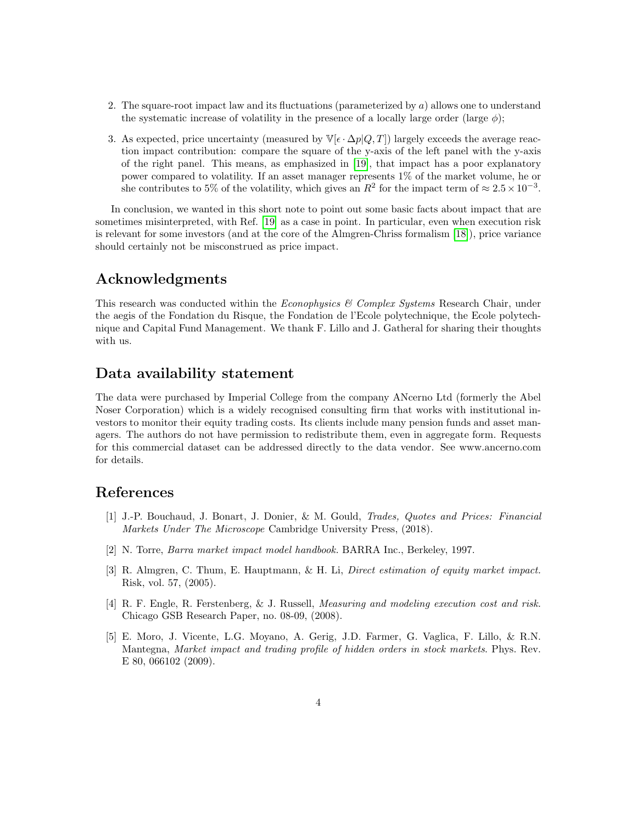- 2. The square-root impact law and its fluctuations (parameterized by a) allows one to understand the systematic increase of volatility in the presence of a locally large order (large  $\phi$ );
- 3. As expected, price uncertainty (measured by  $\mathbb{V}[\epsilon \cdot \Delta p | Q, T]$ ) largely exceeds the average reaction impact contribution: compare the square of the y-axis of the left panel with the y-axis of the right panel. This means, as emphasized in [\[19\]](#page-4-5), that impact has a poor explanatory power compared to volatility. If an asset manager represents 1% of the market volume, he or she contributes to 5% of the volatility, which gives an  $R^2$  for the impact term of  $\approx 2.5 \times 10^{-3}$ .

In conclusion, we wanted in this short note to point out some basic facts about impact that are sometimes misinterpreted, with Ref. [\[19\]](#page-4-5) as a case in point. In particular, even when execution risk is relevant for some investors (and at the core of the Almgren-Chriss formalism [\[18\]](#page-4-4)), price variance should certainly not be misconstrued as price impact.

# Acknowledgments

This research was conducted within the *Econophysics & Complex Systems* Research Chair, under the aegis of the Fondation du Risque, the Fondation de l'Ecole polytechnique, the Ecole polytechnique and Capital Fund Management. We thank F. Lillo and J. Gatheral for sharing their thoughts with us.

## Data availability statement

The data were purchased by Imperial College from the company ANcerno Ltd (formerly the Abel Noser Corporation) which is a widely recognised consulting firm that works with institutional investors to monitor their equity trading costs. Its clients include many pension funds and asset managers. The authors do not have permission to redistribute them, even in aggregate form. Requests for this commercial dataset can be addressed directly to the data vendor. See www.ancerno.com for details.

### References

- <span id="page-3-0"></span>[1] J.-P. Bouchaud, J. Bonart, J. Donier, & M. Gould, Trades, Quotes and Prices: Financial Markets Under The Microscope Cambridge University Press, (2018).
- <span id="page-3-1"></span>[2] N. Torre, Barra market impact model handbook. BARRA Inc., Berkeley, 1997.
- [3] R. Almgren, C. Thum, E. Hauptmann, & H. Li, Direct estimation of equity market impact. Risk, vol. 57, (2005).
- [4] R. F. Engle, R. Ferstenberg, & J. Russell, Measuring and modeling execution cost and risk. Chicago GSB Research Paper, no. 08-09, (2008).
- [5] E. Moro, J. Vicente, L.G. Moyano, A. Gerig, J.D. Farmer, G. Vaglica, F. Lillo, & R.N. Mantegna, Market impact and trading profile of hidden orders in stock markets. Phys. Rev. E 80, 066102 (2009).